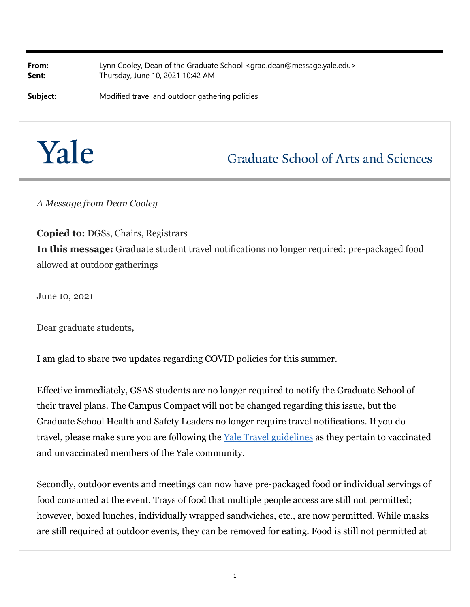**From:** Lynn Cooley, Dean of the Graduate School <grad.dean@message.yale.edu> **Sent:** Thursday, June 10, 2021 10:42 AM

**Subject:** Modified travel and outdoor gathering policies

## Yale

## **Graduate School of Arts and Sciences**

*A Message from Dean Cooley*

**Copied to:** DGSs, Chairs, Registrars **In this message:** Graduate student travel notifications no longer required; pre-packaged food allowed at outdoor gatherings

June 10, 2021

Dear graduate students,

I am glad to share two updates regarding COVID policies for this summer.

Effective immediately, GSAS students are no longer required to notify the Graduate School of their travel plans. The Campus Compact will not be changed regarding this issue, but the Graduate School Health and Safety Leaders no longer require travel notifications. If you do travel, please make sure you are following the Yale Travel guidelines as they pertain to vaccinated and unvaccinated members of the Yale community.

Secondly, outdoor events and meetings can now have pre-packaged food or individual servings of food consumed at the event. Trays of food that multiple people access are still not permitted; however, boxed lunches, individually wrapped sandwiches, etc., are now permitted. While masks are still required at outdoor events, they can be removed for eating. Food is still not permitted at